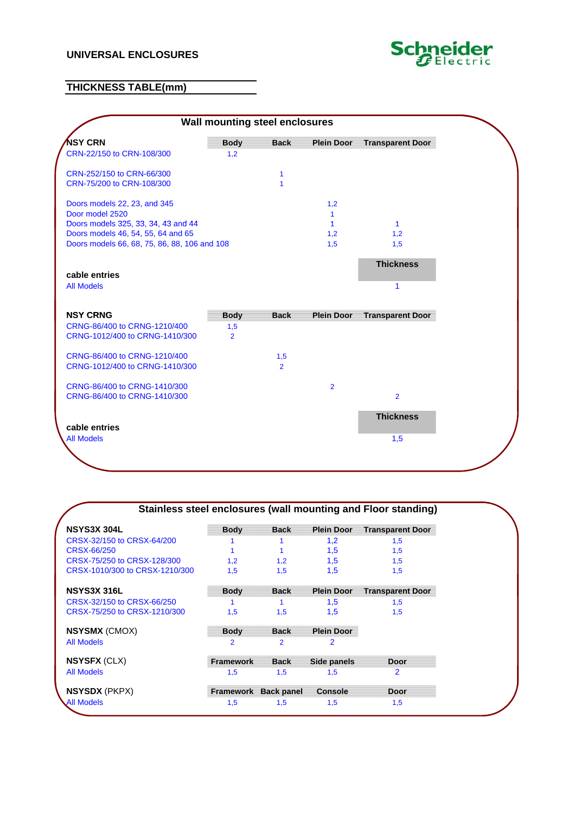## **UNIVERSAL ENCLOSURES**



## **THICKNESS TABLE(mm)**



|                                |                      |                |                   | Stainless steel enclosures (wall mounting and Floor standing) |
|--------------------------------|----------------------|----------------|-------------------|---------------------------------------------------------------|
| <b>NSYS3X 304L</b>             | <b>Body</b>          | <b>Back</b>    | <b>Plein Door</b> | <b>Transparent Door</b>                                       |
| CRSX-32/150 to CRSX-64/200     |                      |                | 1,2               | 1,5                                                           |
| CRSX-66/250                    |                      |                | 1,5               | 1,5                                                           |
| CRSX-75/250 to CRSX-128/300    | 1.2                  | 1,2            | 1,5               | 1,5                                                           |
| CRSX-1010/300 to CRSX-1210/300 | 1,5                  | 1,5            | 1,5               | 1,5                                                           |
| <b>NSYS3X 316L</b>             | <b>Body</b>          | <b>Back</b>    | <b>Plein Door</b> | <b>Transparent Door</b>                                       |
| CRSX-32/150 to CRSX-66/250     |                      |                | 1,5               | 1,5                                                           |
| CRSX-75/250 to CRSX-1210/300   | 1,5                  | 1,5            | 1,5               | 1,5                                                           |
| <b>NSYSMX</b> (CMOX)           | <b>Body</b>          | <b>Back</b>    | <b>Plein Door</b> |                                                               |
| All Models                     | $\overline{2}$       | $\overline{2}$ | 2                 |                                                               |
| <b>NSYSFX (CLX)</b>            | <b>Framework</b>     | <b>Back</b>    | Side panels       | <b>Door</b>                                                   |
| <b>All Models</b>              | 1,5                  | 1,5            | 1,5               | $\overline{2}$                                                |
| <b>NSYSDX</b> (PKPX)           | Framework Back panel |                | <b>Console</b>    | <b>Door</b>                                                   |
| <b>All Models</b>              | 1,5                  | 1,5            | 1,5               | 1,5                                                           |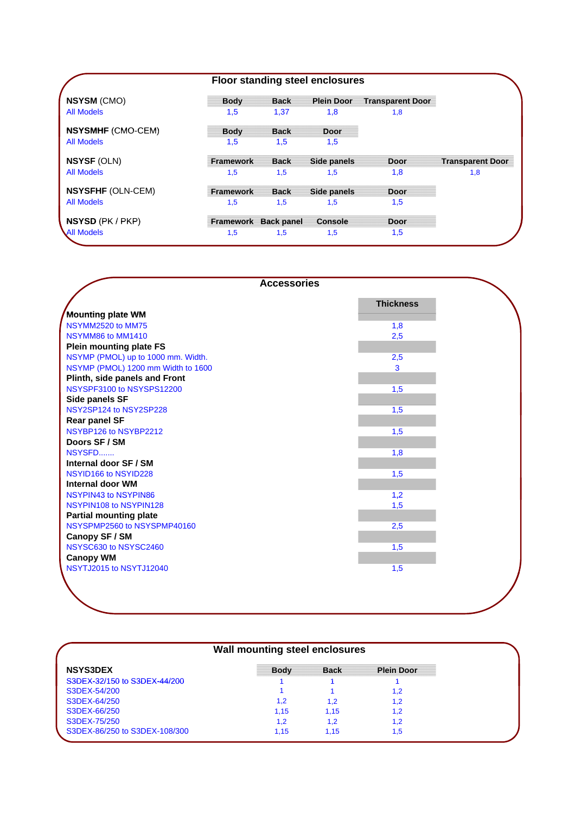|                          |                  | <b>Floor standing steel enclosures</b> |                   |                         |                         |
|--------------------------|------------------|----------------------------------------|-------------------|-------------------------|-------------------------|
| <b>NSYSM (CMO)</b>       | <b>Body</b>      | <b>Back</b>                            | <b>Plein Door</b> | <b>Transparent Door</b> |                         |
| <b>All Models</b>        | 1,5              | 1.37                                   | 1,8               | 1,8                     |                         |
| <b>NSYSMHF (CMO-CEM)</b> | <b>Body</b>      | <b>Back</b>                            | <b>Door</b>       |                         |                         |
| <b>All Models</b>        | 1,5              | 1,5                                    | 1,5               |                         |                         |
| <b>NSYSF (OLN)</b>       | Framework        | <b>Back</b>                            | Side panels       | <b>Door</b>             | <b>Transparent Door</b> |
| <b>All Models</b>        | 1,5              | 1,5                                    | 1,5               | 1,8                     | 1,8                     |
| <b>NSYSFHF (OLN-CEM)</b> | <b>Framework</b> | <b>Back</b>                            | Side panels       | <b>Door</b>             |                         |
| <b>All Models</b>        | 1,5              | 1.5                                    | 1,5               | 1,5                     |                         |
| <b>NSYSD</b> (PK / PKP)  |                  | Framework Back panel                   | Console           | <b>Door</b>             |                         |
| <b>All Models</b>        | 1,5              | 1,5                                    | 1,5               | 1,5                     |                         |

| <b>Accessories</b>                 |                  |
|------------------------------------|------------------|
|                                    | <b>Thickness</b> |
| Mounting plate WM                  |                  |
| NSYMM2520 to MM75                  | 1,8              |
| NSYMM86 to MM1410                  | 2,5              |
| <b>Plein mounting plate FS</b>     |                  |
| NSYMP (PMOL) up to 1000 mm. Width. | 2,5              |
| NSYMP (PMOL) 1200 mm Width to 1600 | 3                |
| Plinth, side panels and Front      |                  |
| NSYSPF3100 to NSYSPS12200          | 1,5              |
| Side panels SF                     |                  |
| NSY2SP124 to NSY2SP228             | 1,5              |
| <b>Rear panel SF</b>               |                  |
| NSYBP126 to NSYBP2212              | 1,5              |
| Doors SF / SM                      |                  |
| NSYSFD                             | 1,8              |
| Internal door SF / SM              |                  |
| NSYID166 to NSYID228               | 1,5              |
| Internal door WM                   |                  |
| NSYPIN43 to NSYPIN86               | 1,2              |
| NSYPIN108 to NSYPIN128             | 1,5              |
| <b>Partial mounting plate</b>      |                  |
| NSYSPMP2560 to NSYSPMP40160        | 2,5              |
| Canopy SF / SM                     |                  |
| NSYSC630 to NSYSC2460              | 1,5              |
| <b>Canopy WM</b>                   |                  |
| NSYTJ2015 to NSYTJ12040            | 1,5              |
|                                    |                  |
|                                    |                  |
|                                    |                  |
|                                    |                  |

| <b>NSYS3DEX</b><br><b>Plein Door</b><br><b>Back</b><br><b>Body</b><br>S3DEX-32/150 to S3DEX-44/200<br>S3DEX-54/200<br>1.2<br>S3DEX-64/250<br>1.2<br>1,2<br>1.2<br>S3DEX-66/250<br>1.15<br>1.15<br>1.2<br>S3DEX-75/250<br>1,2<br>1,2<br>1.2<br>S3DEX-86/250 to S3DEX-108/300<br>1.15<br>1.15<br>1.5 | Wall mounting steel enclosures |  |  |  |  |
|----------------------------------------------------------------------------------------------------------------------------------------------------------------------------------------------------------------------------------------------------------------------------------------------------|--------------------------------|--|--|--|--|
|                                                                                                                                                                                                                                                                                                    |                                |  |  |  |  |
|                                                                                                                                                                                                                                                                                                    |                                |  |  |  |  |
|                                                                                                                                                                                                                                                                                                    |                                |  |  |  |  |
|                                                                                                                                                                                                                                                                                                    |                                |  |  |  |  |
|                                                                                                                                                                                                                                                                                                    |                                |  |  |  |  |
|                                                                                                                                                                                                                                                                                                    |                                |  |  |  |  |
|                                                                                                                                                                                                                                                                                                    |                                |  |  |  |  |